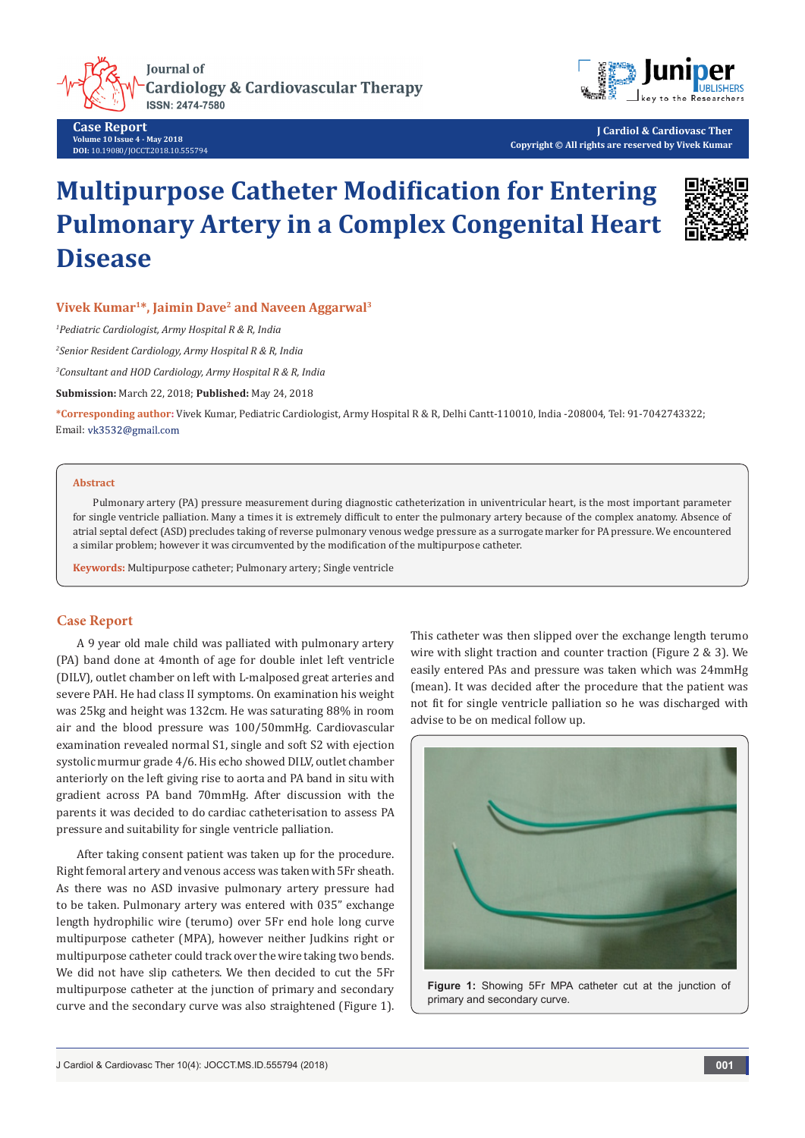

**Case Report Volume 10 Issue 4 - May 2018 DOI:** [10.19080/JOCCT.2018.10.555794](http://dx.doi.org/10.19080/JOCCT.2018.10.555794)

**J Cardiol & Cardiovasc Ther Copyright © All rights are reserved by Vivek Kumar**

# **Multipurpose Catheter Modification for Entering Pulmonary Artery in a Complex Congenital Heart Disease**



# **Vivek Kumar1\*, Jaimin Dave<sup>2</sup> and Naveen Aggarwal<sup>3</sup>**

*1 Pediatric Cardiologist, Army Hospital R & R, India*

*2 Senior Resident Cardiology, Army Hospital R & R, India*

*3 Consultant and HOD Cardiology, Army Hospital R & R, India*

**Submission:** March 22, 2018; **Published:** May 24, 2018

**\*Corresponding author:** Vivek Kumar, Pediatric Cardiologist, Army Hospital R & R, Delhi Cantt-110010, India -208004, Tel: 91-7042743322; Email: vk3532@gmail.com

#### **Abstract**

Pulmonary artery (PA) pressure measurement during diagnostic catheterization in univentricular heart, is the most important parameter for single ventricle palliation. Many a times it is extremely difficult to enter the pulmonary artery because of the complex anatomy. Absence of atrial septal defect (ASD) precludes taking of reverse pulmonary venous wedge pressure as a surrogate marker for PA pressure. We encountered a similar problem; however it was circumvented by the modification of the multipurpose catheter.

**Keywords:** Multipurpose catheter; Pulmonary artery; Single ventricle

## **Case Report**

A 9 year old male child was palliated with pulmonary artery (PA) band done at 4month of age for double inlet left ventricle (DILV), outlet chamber on left with L-malposed great arteries and severe PAH. He had class II symptoms. On examination his weight was 25kg and height was 132cm. He was saturating 88% in room air and the blood pressure was 100/50mmHg. Cardiovascular examination revealed normal S1, single and soft S2 with ejection systolic murmur grade 4/6. His echo showed DILV, outlet chamber anteriorly on the left giving rise to aorta and PA band in situ with gradient across PA band 70mmHg. After discussion with the parents it was decided to do cardiac catheterisation to assess PA pressure and suitability for single ventricle palliation.

After taking consent patient was taken up for the procedure. Right femoral artery and venous access was taken with 5Fr sheath. As there was no ASD invasive pulmonary artery pressure had to be taken. Pulmonary artery was entered with 035" exchange length hydrophilic wire (terumo) over 5Fr end hole long curve multipurpose catheter (MPA), however neither Judkins right or multipurpose catheter could track over the wire taking two bends. We did not have slip catheters. We then decided to cut the 5Fr multipurpose catheter at the junction of primary and secondary curve and the secondary curve was also straightened (Figure 1). This catheter was then slipped over the exchange length terumo wire with slight traction and counter traction (Figure 2 & 3). We easily entered PAs and pressure was taken which was 24mmHg (mean). It was decided after the procedure that the patient was not fit for single ventricle palliation so he was discharged with advise to be on medical follow up.



**Figure 1:** Showing 5Fr MPA catheter cut at the junction of primary and secondary curve.